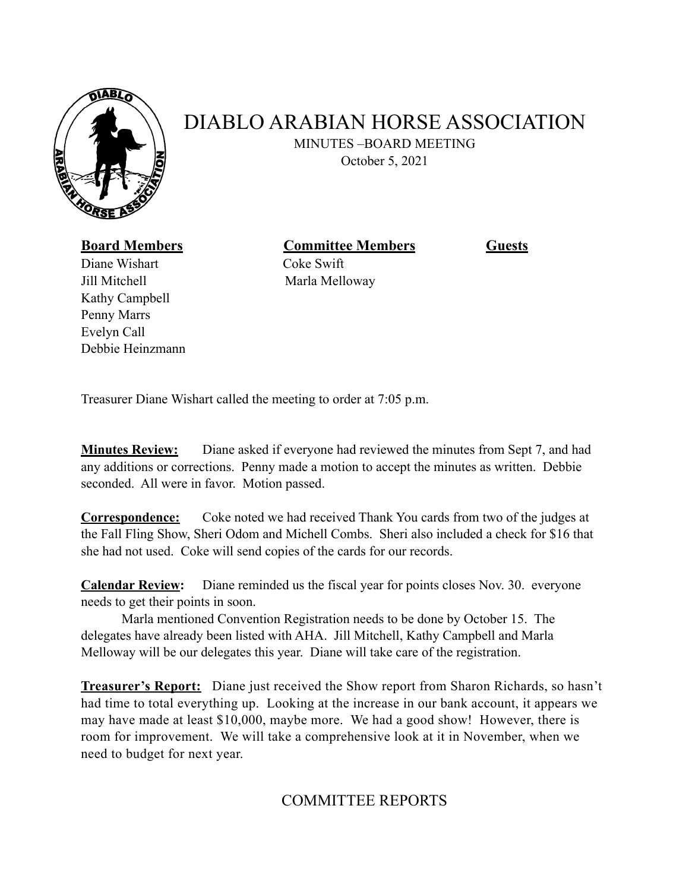

## DIABLO ARABIAN HORSE ASSOCIATION

MINUTES –BOARD MEETING October 5, 2021

**Board Members Committee Members Guests**

Diane WishartCoke Swift Jill Mitchell Marla Melloway Kathy Campbell Penny Marrs Evelyn Call Debbie Heinzmann

Treasurer Diane Wishart called the meeting to order at 7:05 p.m.

**Minutes Review:** Diane asked if everyone had reviewed the minutes from Sept 7, and had any additions or corrections. Penny made a motion to accept the minutes as written. Debbie seconded. All were in favor. Motion passed.

**Correspondence:** Coke noted we had received Thank You cards from two of the judges at the Fall Fling Show, Sheri Odom and Michell Combs. Sheri also included a check for \$16 that she had not used. Coke will send copies of the cards for our records.

**Calendar Review:** Diane reminded us the fiscal year for points closes Nov. 30. everyone needs to get their points in soon.

Marla mentioned Convention Registration needs to be done by October 15. The delegates have already been listed with AHA. Jill Mitchell, Kathy Campbell and Marla Melloway will be our delegates this year. Diane will take care of the registration.

**Treasurer's Report:** Diane just received the Show report from Sharon Richards, so hasn't had time to total everything up. Looking at the increase in our bank account, it appears we may have made at least \$10,000, maybe more. We had a good show! However, there is room for improvement. We will take a comprehensive look at it in November, when we need to budget for next year.

COMMITTEE REPORTS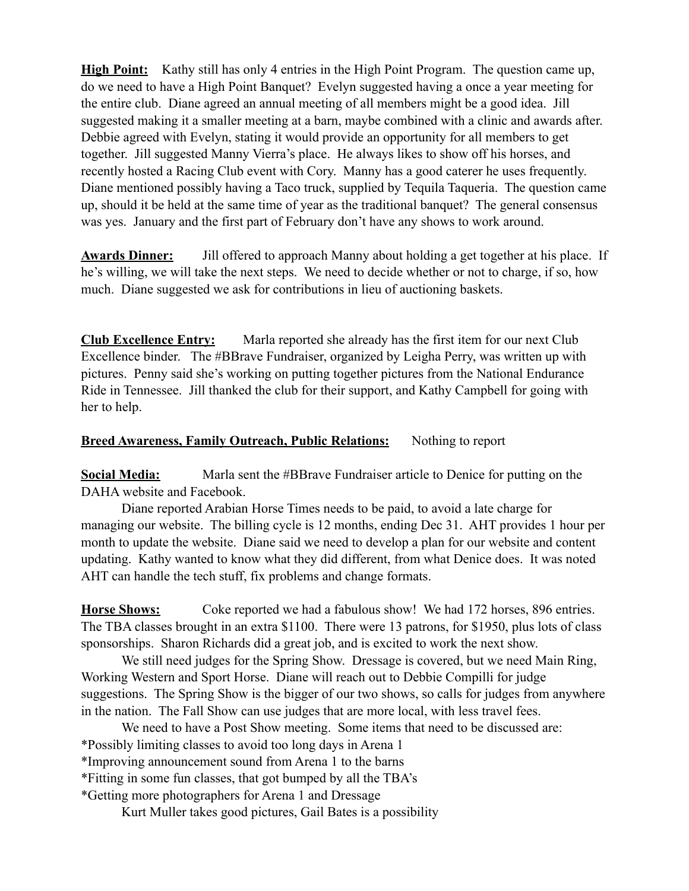**High Point:** Kathy still has only 4 entries in the High Point Program. The question came up, do we need to have a High Point Banquet? Evelyn suggested having a once a year meeting for the entire club. Diane agreed an annual meeting of all members might be a good idea. Jill suggested making it a smaller meeting at a barn, maybe combined with a clinic and awards after. Debbie agreed with Evelyn, stating it would provide an opportunity for all members to get together. Jill suggested Manny Vierra's place. He always likes to show off his horses, and recently hosted a Racing Club event with Cory. Manny has a good caterer he uses frequently. Diane mentioned possibly having a Taco truck, supplied by Tequila Taqueria. The question came up, should it be held at the same time of year as the traditional banquet? The general consensus was yes. January and the first part of February don't have any shows to work around.

**Awards Dinner:** Jill offered to approach Manny about holding a get together at his place. If he's willing, we will take the next steps. We need to decide whether or not to charge, if so, how much. Diane suggested we ask for contributions in lieu of auctioning baskets.

**Club Excellence Entry:** Marla reported she already has the first item for our next Club Excellence binder. The #BBrave Fundraiser, organized by Leigha Perry, was written up with pictures. Penny said she's working on putting together pictures from the National Endurance Ride in Tennessee. Jill thanked the club for their support, and Kathy Campbell for going with her to help.

## **Breed Awareness, Family Outreach, Public Relations:** Nothing to report

**Social Media:** Marla sent the #BBrave Fundraiser article to Denice for putting on the DAHA website and Facebook.

Diane reported Arabian Horse Times needs to be paid, to avoid a late charge for managing our website. The billing cycle is 12 months, ending Dec 31. AHT provides 1 hour per month to update the website. Diane said we need to develop a plan for our website and content updating. Kathy wanted to know what they did different, from what Denice does. It was noted AHT can handle the tech stuff, fix problems and change formats.

**Horse Shows:** Coke reported we had a fabulous show! We had 172 horses, 896 entries. The TBA classes brought in an extra \$1100. There were 13 patrons, for \$1950, plus lots of class sponsorships. Sharon Richards did a great job, and is excited to work the next show.

We still need judges for the Spring Show. Dressage is covered, but we need Main Ring, Working Western and Sport Horse. Diane will reach out to Debbie Compilli for judge suggestions. The Spring Show is the bigger of our two shows, so calls for judges from anywhere in the nation. The Fall Show can use judges that are more local, with less travel fees.

We need to have a Post Show meeting. Some items that need to be discussed are: \*Possibly limiting classes to avoid too long days in Arena 1

\*Improving announcement sound from Arena 1 to the barns

\*Fitting in some fun classes, that got bumped by all the TBA's

\*Getting more photographers for Arena 1 and Dressage

Kurt Muller takes good pictures, Gail Bates is a possibility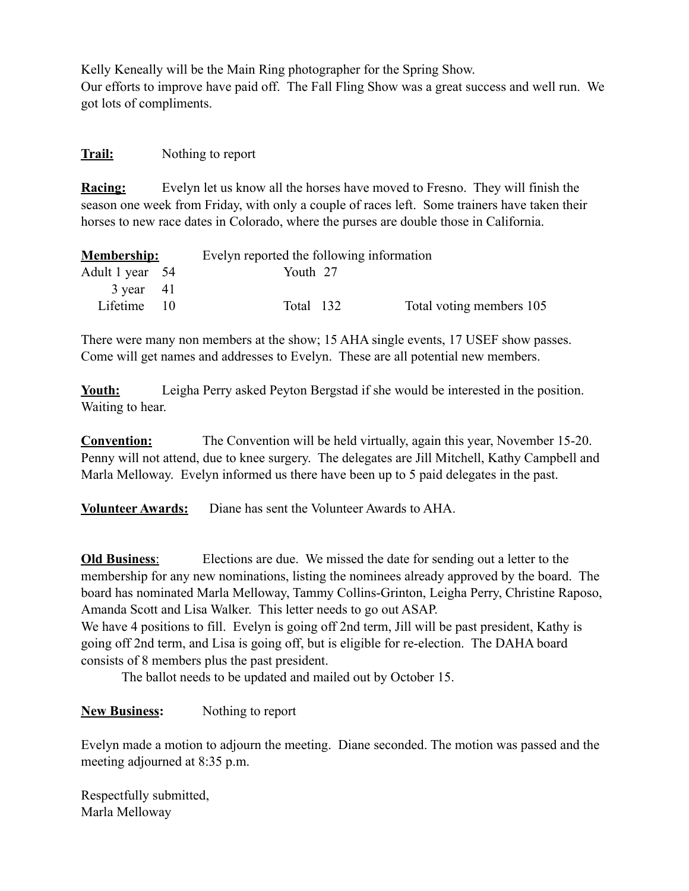Kelly Keneally will be the Main Ring photographer for the Spring Show. Our efforts to improve have paid off. The Fall Fling Show was a great success and well run. We got lots of compliments.

## **Trail:** Nothing to report

**Racing:** Evelyn let us know all the horses have moved to Fresno. They will finish the season one week from Friday, with only a couple of races left. Some trainers have taken their horses to new race dates in Colorado, where the purses are double those in California.

| <b>Membership:</b>  |  | Evelyn reported the following information |  |                          |
|---------------------|--|-------------------------------------------|--|--------------------------|
| Adult 1 year 54     |  | Youth 27                                  |  |                          |
| $3 \text{ year}$ 41 |  |                                           |  |                          |
| Lifetime 10         |  | Total 132                                 |  | Total voting members 105 |

There were many non members at the show; 15 AHA single events, 17 USEF show passes. Come will get names and addresses to Evelyn. These are all potential new members.

**Youth:** Leigha Perry asked Peyton Bergstad if she would be interested in the position. Waiting to hear.

**Convention:** The Convention will be held virtually, again this year, November 15-20. Penny will not attend, due to knee surgery. The delegates are Jill Mitchell, Kathy Campbell and Marla Melloway. Evelyn informed us there have been up to 5 paid delegates in the past.

**Volunteer Awards:** Diane has sent the Volunteer Awards to AHA.

**Old Business**: Elections are due. We missed the date for sending out a letter to the membership for any new nominations, listing the nominees already approved by the board. The board has nominated Marla Melloway, Tammy Collins-Grinton, Leigha Perry, Christine Raposo, Amanda Scott and Lisa Walker. This letter needs to go out ASAP. We have 4 positions to fill. Evelyn is going off 2nd term, Jill will be past president, Kathy is

going off 2nd term, and Lisa is going off, but is eligible for re-election. The DAHA board consists of 8 members plus the past president.

The ballot needs to be updated and mailed out by October 15.

**New Business:** Nothing to report

Evelyn made a motion to adjourn the meeting. Diane seconded. The motion was passed and the meeting adjourned at 8:35 p.m.

Respectfully submitted, Marla Melloway